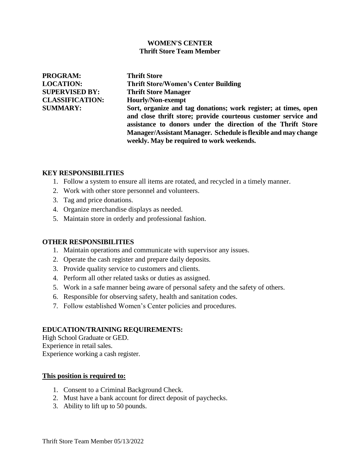## **WOMEN'S CENTER Thrift Store Team Member**

**PROGRAM: Thrift Store SUPERVISED BY: Thrift Store Manager CLASSIFICATION: Hourly/Non-exempt**

**LOCATION: Thrift Store/Women's Center Building SUMMARY: Sort, organize and tag donations; work register; at times, open and close thrift store; provide courteous customer service and assistance to donors under the direction of the Thrift Store Manager/Assistant Manager. Schedule isflexible and may change weekly. May be required to work weekends.**

## **KEY RESPONSIBILITIES**

- 1. Follow a system to ensure all items are rotated, and recycled in a timely manner.
- 2. Work with other store personnel and volunteers.
- 3. Tag and price donations.
- 4. Organize merchandise displays as needed.
- 5. Maintain store in orderly and professional fashion.

#### **OTHER RESPONSIBILITIES**

- 1. Maintain operations and communicate with supervisor any issues.
- 2. Operate the cash register and prepare daily deposits.
- 3. Provide quality service to customers and clients.
- 4. Perform all other related tasks or duties as assigned.
- 5. Work in a safe manner being aware of personal safety and the safety of others.
- 6. Responsible for observing safety, health and sanitation codes.
- 7. Follow established Women's Center policies and procedures.

# **EDUCATION/TRAINING REQUIREMENTS:**

High School Graduate or GED. Experience in retail sales. Experience working a cash register.

#### **This position is required to:**

- 1. Consent to a Criminal Background Check.
- 2. Must have a bank account for direct deposit of paychecks.
- 3. Ability to lift up to 50 pounds.